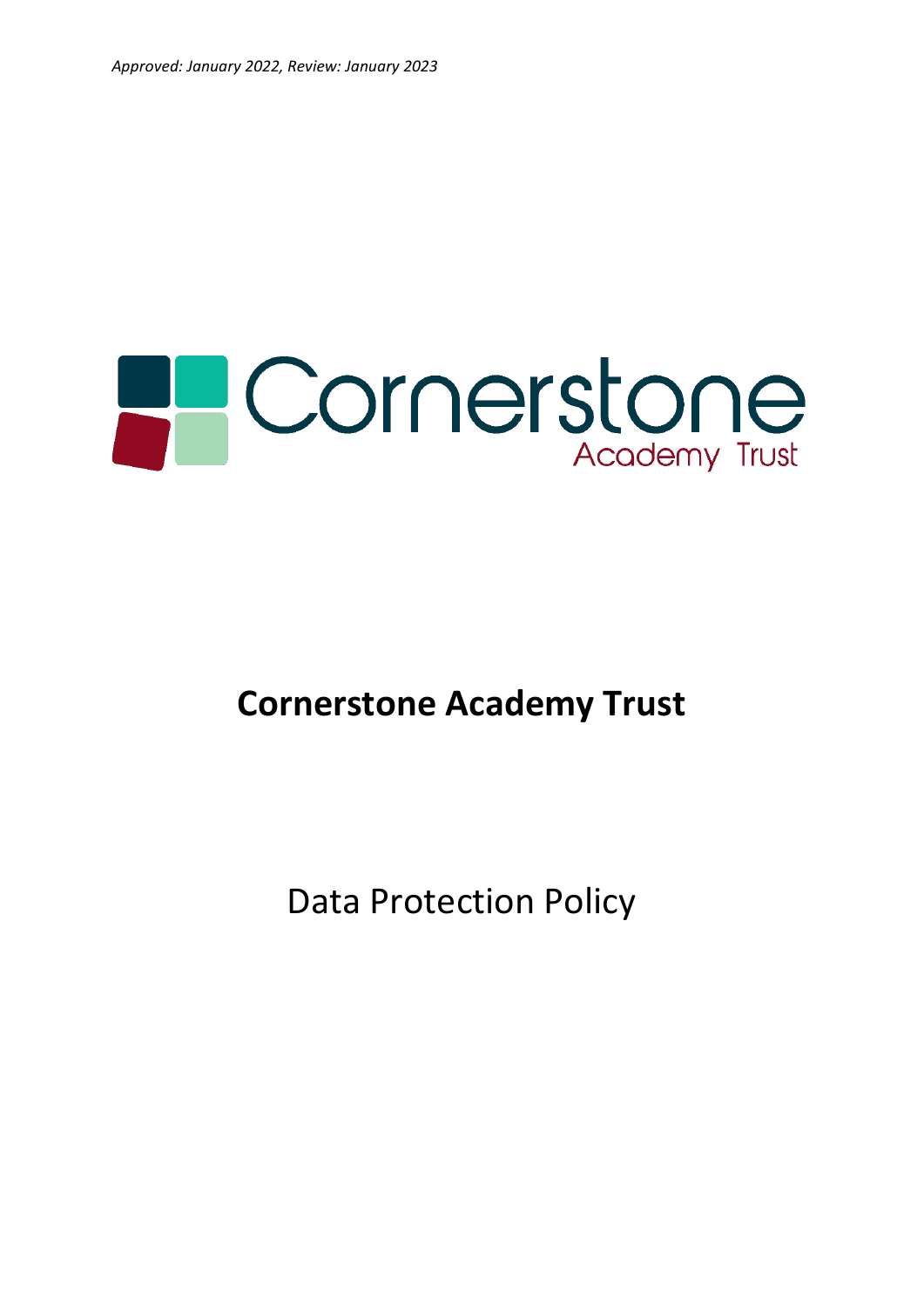# **PCornerstone**

# **Cornerstone Academy Trust**

Data Protection Policy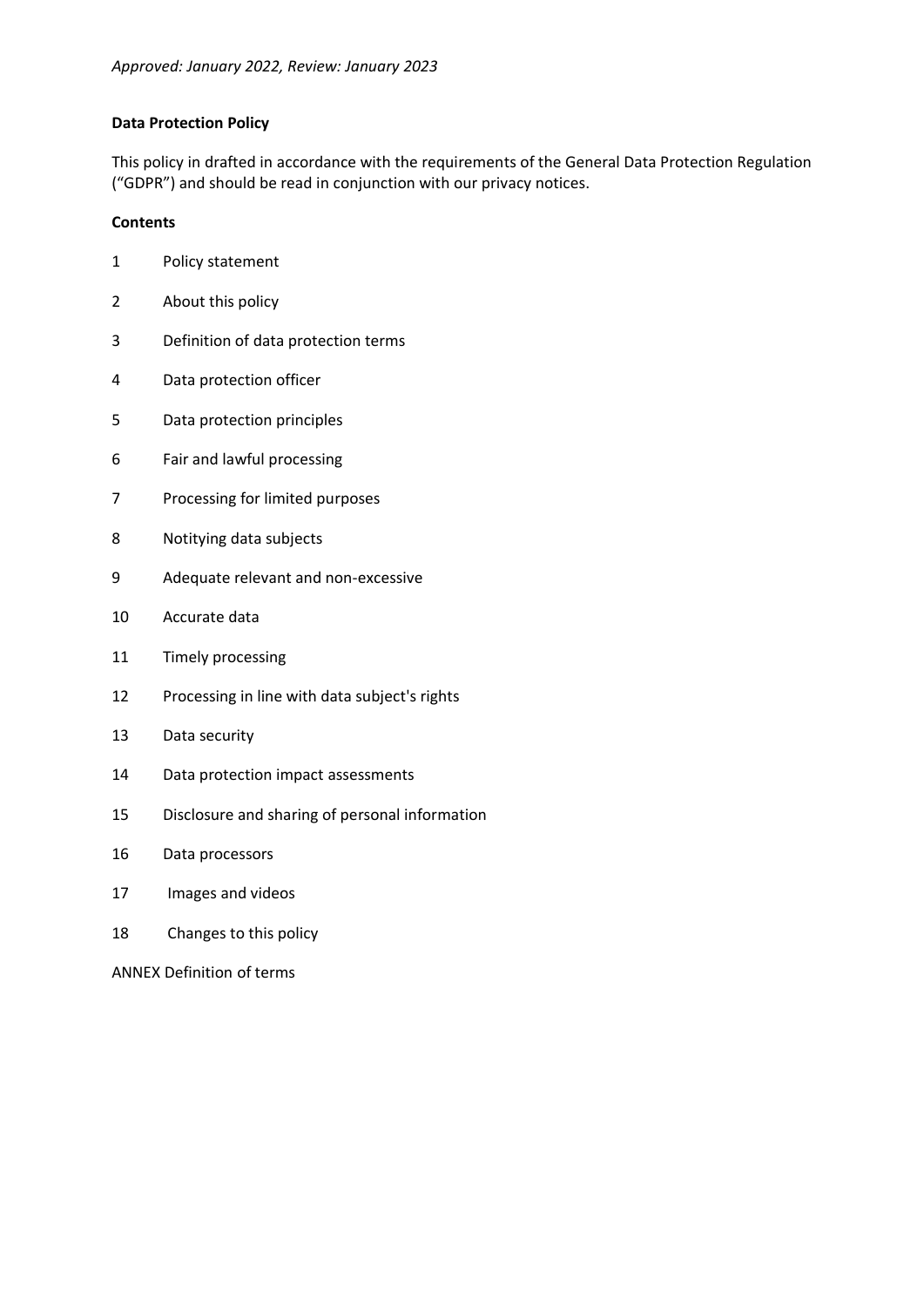# **Data Protection Policy**

This policy in drafted in accordance with the requirements of the General Data Protection Regulation ("GDPR") and should be read in conjunction with our privacy notices.

#### **Contents**

- Policy statement
- About this policy
- Definition of data protection terms
- Data protection officer
- Data protection principles
- Fair and lawful processing
- Processing for limited purposes
- Notitying data subjects
- Adequate relevant and non-excessive
- Accurate data
- Timely processing
- Processing in line with data subject's rights
- Data security
- Data protection impact assessments
- Disclosure and sharing of personal information
- Data processors
- Images and videos
- Changes to this policy

ANNEX Definition of terms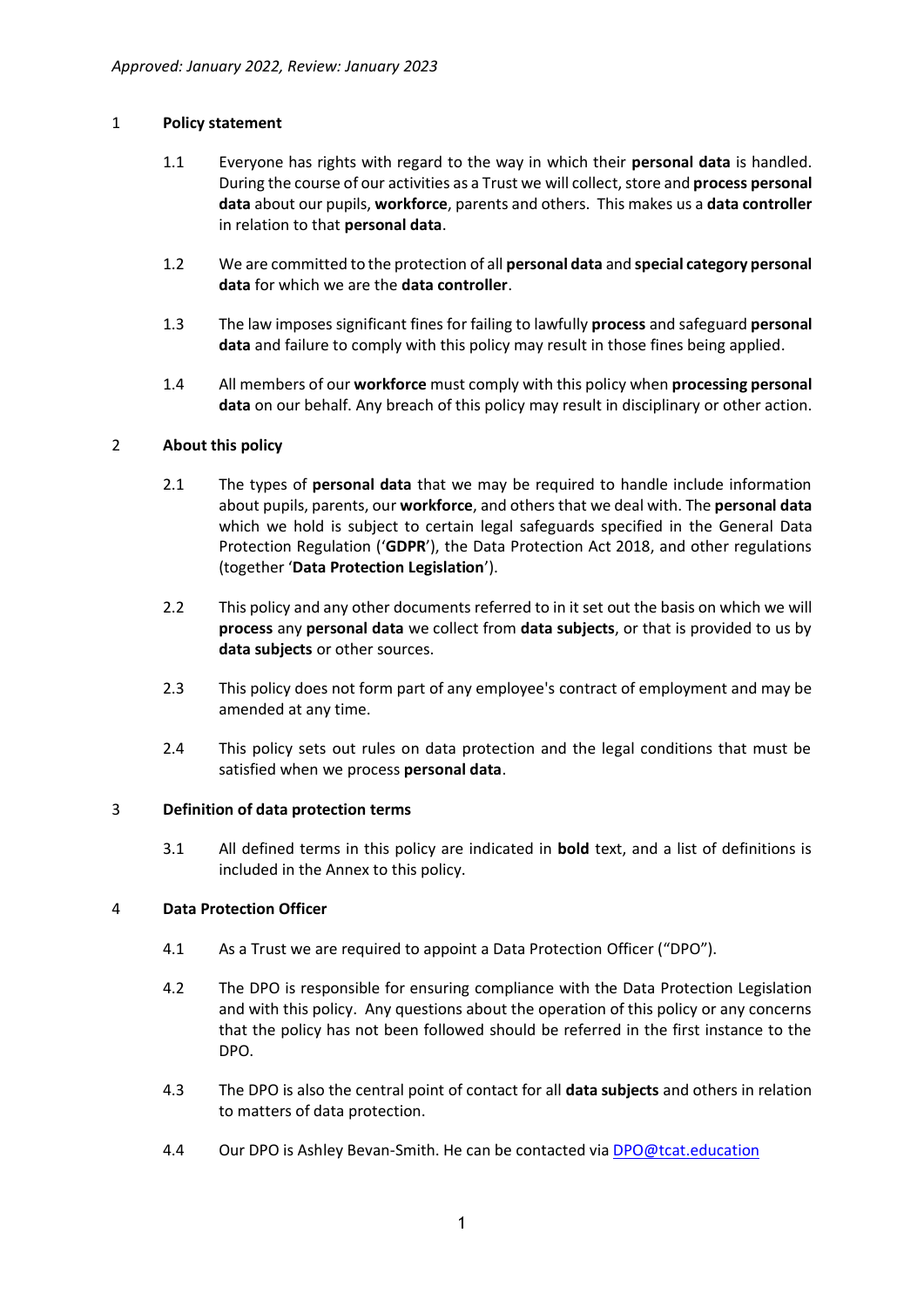#### 1 **Policy statement**

- 1.1 Everyone has rights with regard to the way in which their **personal data** is handled. During the course of our activities as a Trust we will collect, store and **process personal data** about our pupils, **workforce**, parents and others. This makes us a **data controller** in relation to that **personal data**.
- 1.2 We are committed to the protection of all **personal data** and **special category personal data** for which we are the **data controller**.
- 1.3 The law imposes significant fines for failing to lawfully **process** and safeguard **personal data** and failure to comply with this policy may result in those fines being applied.
- 1.4 All members of our **workforce** must comply with this policy when **processing personal data** on our behalf. Any breach of this policy may result in disciplinary or other action.

#### 2 **About this policy**

- 2.1 The types of **personal data** that we may be required to handle include information about pupils, parents, our **workforce**, and others that we deal with. The **personal data** which we hold is subject to certain legal safeguards specified in the General Data Protection Regulation ('**GDPR**'), the Data Protection Act 2018, and other regulations (together '**Data Protection Legislation**').
- 2.2 This policy and any other documents referred to in it set out the basis on which we will **process** any **personal data** we collect from **data subjects**, or that is provided to us by **data subjects** or other sources.
- 2.3 This policy does not form part of any employee's contract of employment and may be amended at any time.
- 2.4 This policy sets out rules on data protection and the legal conditions that must be satisfied when we process **personal data**.

#### 3 **Definition of data protection terms**

3.1 All defined terms in this policy are indicated in **bold** text, and a list of definitions is included in the Annex to this policy.

# 4 **Data Protection Officer**

- 4.1 As a Trust we are required to appoint a Data Protection Officer ("DPO").
- 4.2 The DPO is responsible for ensuring compliance with the Data Protection Legislation and with this policy. Any questions about the operation of this policy or any concerns that the policy has not been followed should be referred in the first instance to the DPO.
- 4.3 The DPO is also the central point of contact for all **data subjects** and others in relation to matters of data protection.
- 4.4 Our DPO is Ashley Bevan-Smith. He can be contacted via [DPO@tcat.education](mailto:DPO@tcat.education)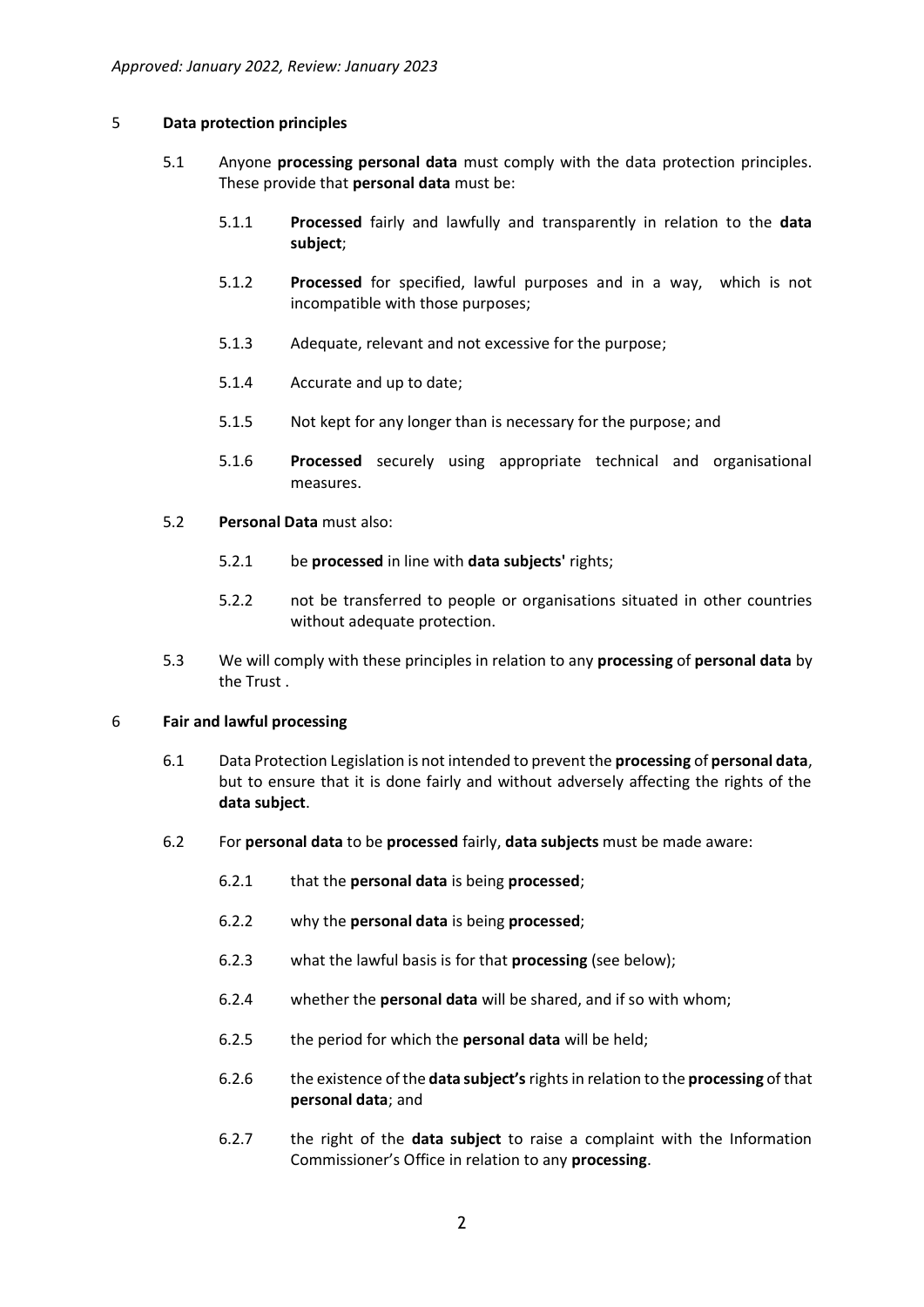#### 5 **Data protection principles**

- 5.1 Anyone **processing personal data** must comply with the data protection principles. These provide that **personal data** must be:
	- 5.1.1 **Processed** fairly and lawfully and transparently in relation to the **data subject**;
	- 5.1.2 **Processed** for specified, lawful purposes and in a way, which is not incompatible with those purposes;
	- 5.1.3 Adequate, relevant and not excessive for the purpose;
	- 5.1.4 Accurate and up to date;
	- 5.1.5 Not kept for any longer than is necessary for the purpose; and
	- 5.1.6 **Processed** securely using appropriate technical and organisational measures.
- 5.2 **Personal Data** must also:
	- 5.2.1 be **processed** in line with **data subjects'** rights;
	- 5.2.2 not be transferred to people or organisations situated in other countries without adequate protection.
- 5.3 We will comply with these principles in relation to any **processing** of **personal data** by the Trust .

#### 6 **Fair and lawful processing**

- 6.1 Data Protection Legislation is not intended to prevent the **processing** of **personal data**, but to ensure that it is done fairly and without adversely affecting the rights of the **data subject**.
- 6.2 For **personal data** to be **processed** fairly, **data subjects** must be made aware:
	- 6.2.1 that the **personal data** is being **processed**;
	- 6.2.2 why the **personal data** is being **processed**;
	- 6.2.3 what the lawful basis is for that **processing** (see below);
	- 6.2.4 whether the **personal data** will be shared, and if so with whom;
	- 6.2.5 the period for which the **personal data** will be held;
	- 6.2.6 the existence of the **data subject's** rights in relation to the **processing** of that **personal data**; and
	- 6.2.7 the right of the **data subject** to raise a complaint with the Information Commissioner's Office in relation to any **processing**.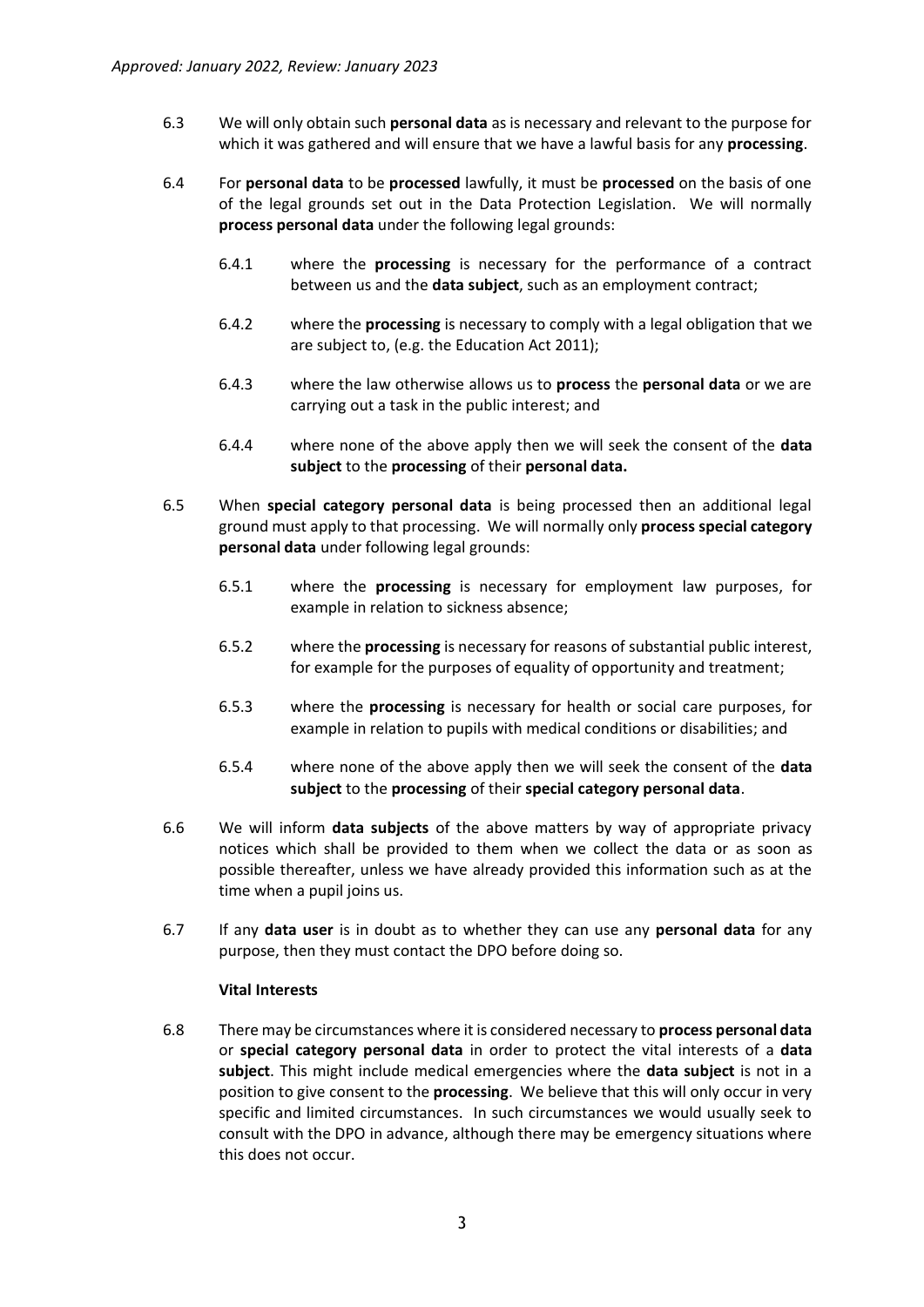- 6.3 We will only obtain such **personal data** as is necessary and relevant to the purpose for which it was gathered and will ensure that we have a lawful basis for any **processing**.
- 6.4 For **personal data** to be **processed** lawfully, it must be **processed** on the basis of one of the legal grounds set out in the Data Protection Legislation. We will normally **process personal data** under the following legal grounds:
	- 6.4.1 where the **processing** is necessary for the performance of a contract between us and the **data subject**, such as an employment contract;
	- 6.4.2 where the **processing** is necessary to comply with a legal obligation that we are subject to, (e.g. the Education Act 2011);
	- 6.4.3 where the law otherwise allows us to **process** the **personal data** or we are carrying out a task in the public interest; and
	- 6.4.4 where none of the above apply then we will seek the consent of the **data subject** to the **processing** of their **personal data.**
- 6.5 When **special category personal data** is being processed then an additional legal ground must apply to that processing. We will normally only **process special category personal data** under following legal grounds:
	- 6.5.1 where the **processing** is necessary for employment law purposes, for example in relation to sickness absence;
	- 6.5.2 where the **processing** is necessary for reasons of substantial public interest, for example for the purposes of equality of opportunity and treatment;
	- 6.5.3 where the **processing** is necessary for health or social care purposes, for example in relation to pupils with medical conditions or disabilities; and
	- 6.5.4 where none of the above apply then we will seek the consent of the **data subject** to the **processing** of their **special category personal data**.
- 6.6 We will inform **data subjects** of the above matters by way of appropriate privacy notices which shall be provided to them when we collect the data or as soon as possible thereafter, unless we have already provided this information such as at the time when a pupil joins us.
- 6.7 If any **data user** is in doubt as to whether they can use any **personal data** for any purpose, then they must contact the DPO before doing so.

#### **Vital Interests**

6.8 There may be circumstances where it is considered necessary to **process personal data**  or **special category personal data** in order to protect the vital interests of a **data subject**. This might include medical emergencies where the **data subject** is not in a position to give consent to the **processing**. We believe that this will only occur in very specific and limited circumstances. In such circumstances we would usually seek to consult with the DPO in advance, although there may be emergency situations where this does not occur.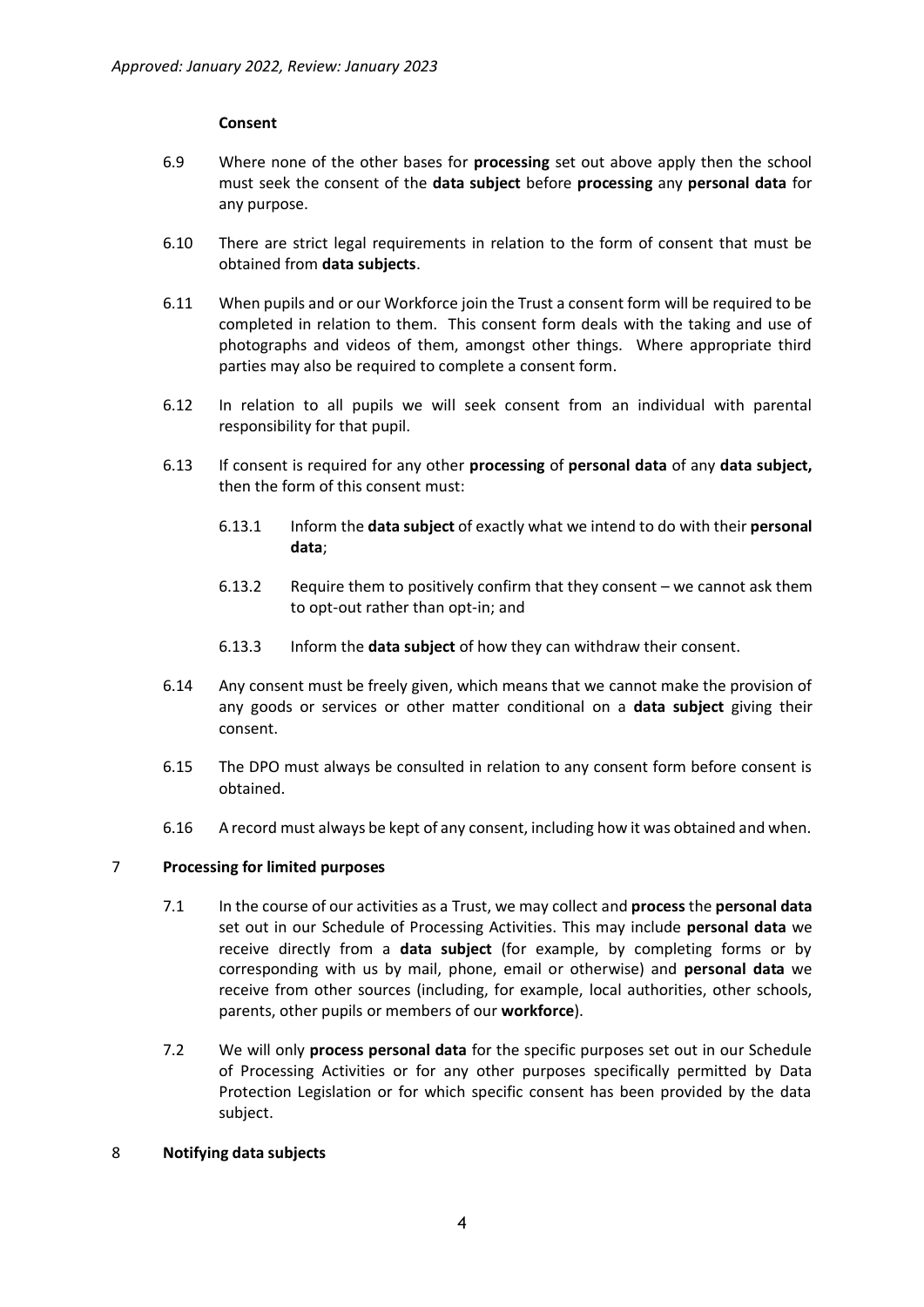#### **Consent**

- 6.9 Where none of the other bases for **processing** set out above apply then the school must seek the consent of the **data subject** before **processing** any **personal data** for any purpose.
- 6.10 There are strict legal requirements in relation to the form of consent that must be obtained from **data subjects**.
- 6.11 When pupils and or our Workforce join the Trust a consent form will be required to be completed in relation to them. This consent form deals with the taking and use of photographs and videos of them, amongst other things. Where appropriate third parties may also be required to complete a consent form.
- 6.12 In relation to all pupils we will seek consent from an individual with parental responsibility for that pupil.
- 6.13 If consent is required for any other **processing** of **personal data** of any **data subject,** then the form of this consent must:
	- 6.13.1 Inform the **data subject** of exactly what we intend to do with their **personal data**;
	- 6.13.2 Require them to positively confirm that they consent we cannot ask them to opt-out rather than opt-in; and
	- 6.13.3 Inform the **data subject** of how they can withdraw their consent.
- 6.14 Any consent must be freely given, which means that we cannot make the provision of any goods or services or other matter conditional on a **data subject** giving their consent.
- 6.15 The DPO must always be consulted in relation to any consent form before consent is obtained.
- 6.16 A record must always be kept of any consent, including how it was obtained and when.

#### 7 **Processing for limited purposes**

- 7.1 In the course of our activities as a Trust, we may collect and **process**the **personal data** set out in our Schedule of Processing Activities. This may include **personal data** we receive directly from a **data subject** (for example, by completing forms or by corresponding with us by mail, phone, email or otherwise) and **personal data** we receive from other sources (including, for example, local authorities, other schools, parents, other pupils or members of our **workforce**).
- 7.2 We will only **process personal data** for the specific purposes set out in our Schedule of Processing Activities or for any other purposes specifically permitted by Data Protection Legislation or for which specific consent has been provided by the data subject.
- 8 **Notifying data subjects**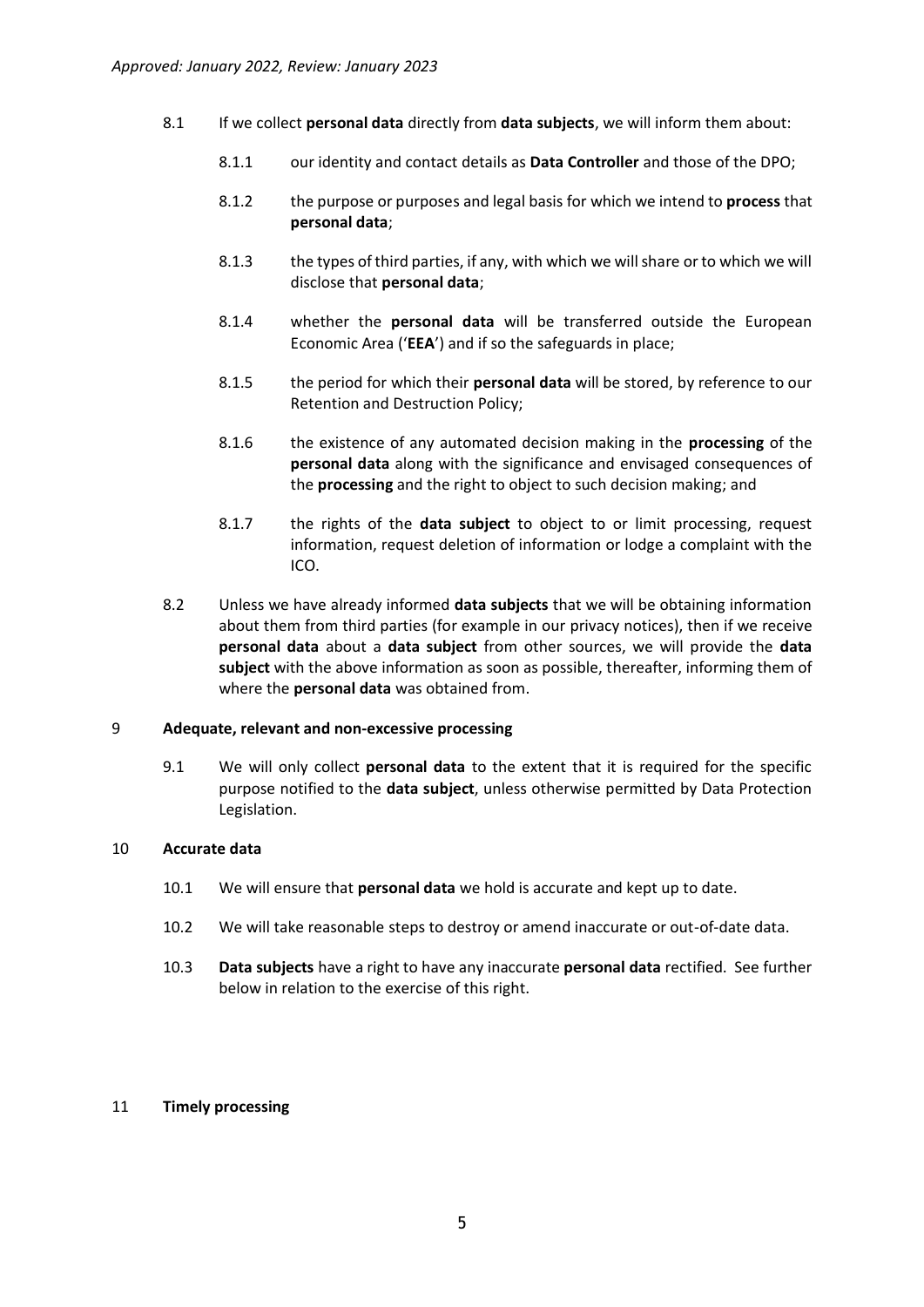- 8.1 If we collect **personal data** directly from **data subjects**, we will inform them about:
	- 8.1.1 our identity and contact details as **Data Controller** and those of the DPO;
	- 8.1.2 the purpose or purposes and legal basis for which we intend to **process** that **personal data**;
	- 8.1.3 the types of third parties, if any, with which we will share or to which we will disclose that **personal data**;
	- 8.1.4 whether the **personal data** will be transferred outside the European Economic Area ('**EEA**') and if so the safeguards in place;
	- 8.1.5 the period for which their **personal data** will be stored, by reference to our Retention and Destruction Policy;
	- 8.1.6 the existence of any automated decision making in the **processing** of the **personal data** along with the significance and envisaged consequences of the **processing** and the right to object to such decision making; and
	- 8.1.7 the rights of the **data subject** to object to or limit processing, request information, request deletion of information or lodge a complaint with the ICO.
- 8.2 Unless we have already informed **data subjects** that we will be obtaining information about them from third parties (for example in our privacy notices), then if we receive **personal data** about a **data subject** from other sources, we will provide the **data subject** with the above information as soon as possible, thereafter, informing them of where the **personal data** was obtained from.

#### 9 **Adequate, relevant and non-excessive processing**

9.1 We will only collect **personal data** to the extent that it is required for the specific purpose notified to the **data subject**, unless otherwise permitted by Data Protection Legislation.

#### 10 **Accurate data**

- 10.1 We will ensure that **personal data** we hold is accurate and kept up to date.
- 10.2 We will take reasonable steps to destroy or amend inaccurate or out-of-date data.
- 10.3 **Data subjects** have a right to have any inaccurate **personal data** rectified. See further below in relation to the exercise of this right.

#### 11 **Timely processing**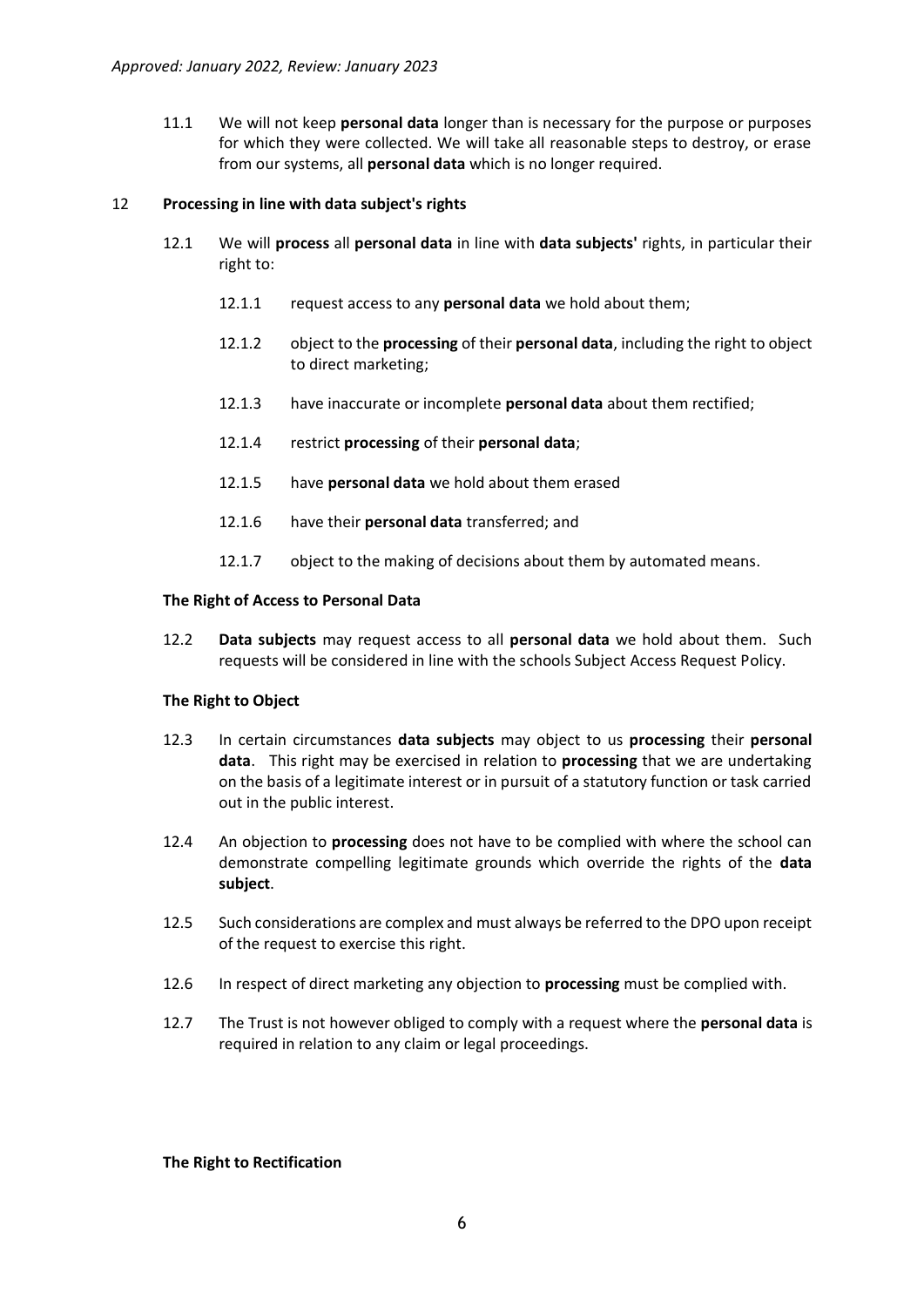11.1 We will not keep **personal data** longer than is necessary for the purpose or purposes for which they were collected. We will take all reasonable steps to destroy, or erase from our systems, all **personal data** which is no longer required.

#### 12 **Processing in line with data subject's rights**

- 12.1 We will **process** all **personal data** in line with **data subjects'** rights, in particular their right to:
	- 12.1.1 request access to any **personal data** we hold about them;
	- 12.1.2 object to the **processing** of their **personal data**, including the right to object to direct marketing;
	- 12.1.3 have inaccurate or incomplete **personal data** about them rectified;
	- 12.1.4 restrict **processing** of their **personal data**;
	- 12.1.5 have **personal data** we hold about them erased
	- 12.1.6 have their **personal data** transferred; and
	- 12.1.7 object to the making of decisions about them by automated means.

#### **The Right of Access to Personal Data**

12.2 **Data subjects** may request access to all **personal data** we hold about them. Such requests will be considered in line with the schools Subject Access Request Policy.

#### **The Right to Object**

- 12.3 In certain circumstances **data subjects** may object to us **processing** their **personal data**. This right may be exercised in relation to **processing** that we are undertaking on the basis of a legitimate interest or in pursuit of a statutory function or task carried out in the public interest.
- 12.4 An objection to **processing** does not have to be complied with where the school can demonstrate compelling legitimate grounds which override the rights of the **data subject**.
- 12.5 Such considerations are complex and must always be referred to the DPO upon receipt of the request to exercise this right.
- 12.6 In respect of direct marketing any objection to **processing** must be complied with.
- 12.7 The Trust is not however obliged to comply with a request where the **personal data** is required in relation to any claim or legal proceedings.

#### **The Right to Rectification**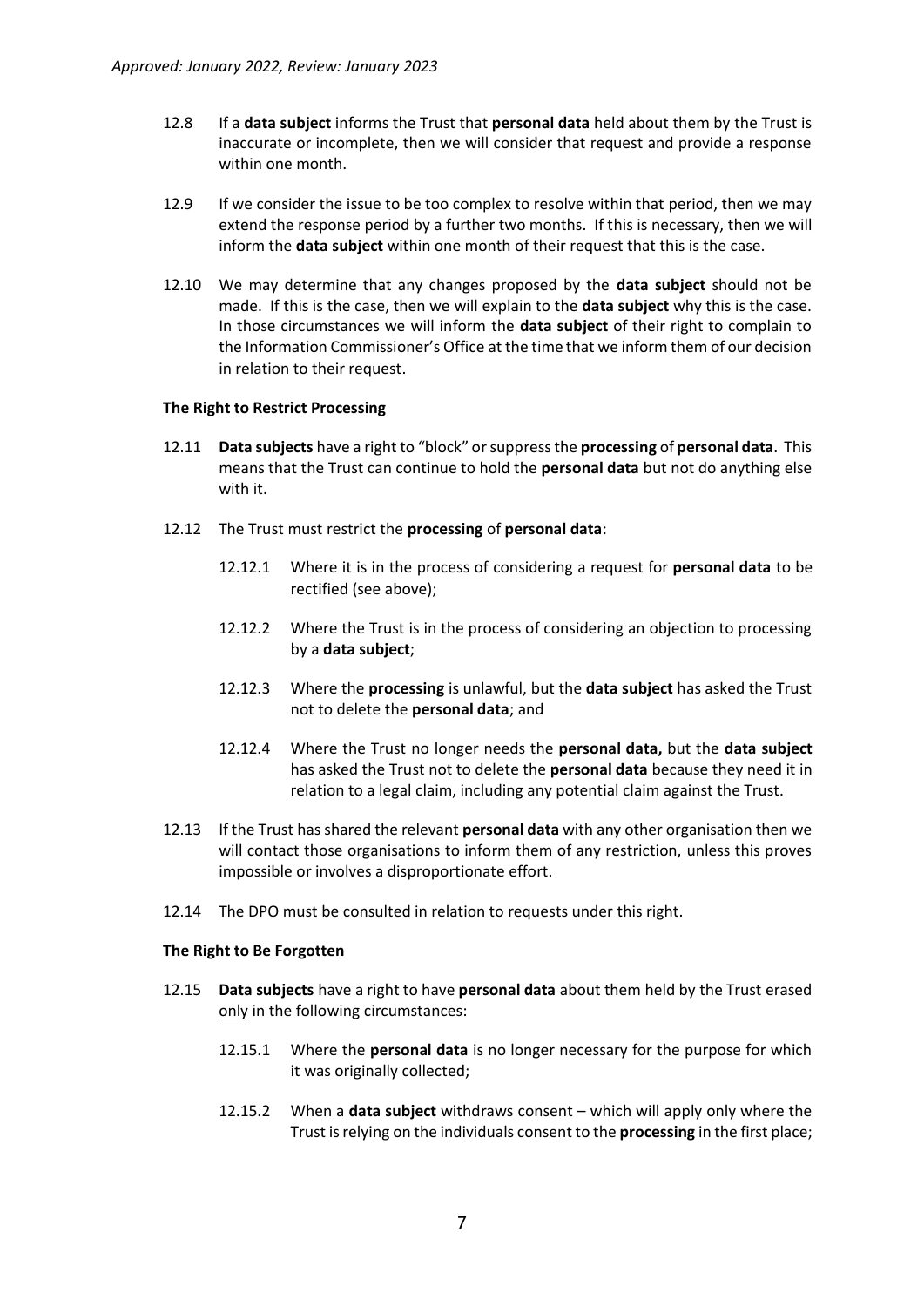- 12.8 If a **data subject** informs the Trust that **personal data** held about them by the Trust is inaccurate or incomplete, then we will consider that request and provide a response within one month.
- 12.9 If we consider the issue to be too complex to resolve within that period, then we may extend the response period by a further two months. If this is necessary, then we will inform the **data subject** within one month of their request that this is the case.
- 12.10 We may determine that any changes proposed by the **data subject** should not be made. If this is the case, then we will explain to the **data subject** why this is the case. In those circumstances we will inform the **data subject** of their right to complain to the Information Commissioner's Office at the time that we inform them of our decision in relation to their request.

#### **The Right to Restrict Processing**

- 12.11 **Data subjects** have a right to "block" or suppress the **processing** of **personal data**. This means that the Trust can continue to hold the **personal data** but not do anything else with it.
- 12.12 The Trust must restrict the **processing** of **personal data**:
	- 12.12.1 Where it is in the process of considering a request for **personal data** to be rectified (see above);
	- 12.12.2 Where the Trust is in the process of considering an objection to processing by a **data subject**;
	- 12.12.3 Where the **processing** is unlawful, but the **data subject** has asked the Trust not to delete the **personal data**; and
	- 12.12.4 Where the Trust no longer needs the **personal data,** but the **data subject** has asked the Trust not to delete the **personal data** because they need it in relation to a legal claim, including any potential claim against the Trust.
- 12.13 If the Trust has shared the relevant **personal data** with any other organisation then we will contact those organisations to inform them of any restriction, unless this proves impossible or involves a disproportionate effort.
- 12.14 The DPO must be consulted in relation to requests under this right.

#### **The Right to Be Forgotten**

- 12.15 **Data subjects** have a right to have **personal data** about them held by the Trust erased only in the following circumstances:
	- 12.15.1 Where the **personal data** is no longer necessary for the purpose for which it was originally collected;
	- 12.15.2 When a **data subject** withdraws consent which will apply only where the Trust is relying on the individuals consent to the **processing** in the first place;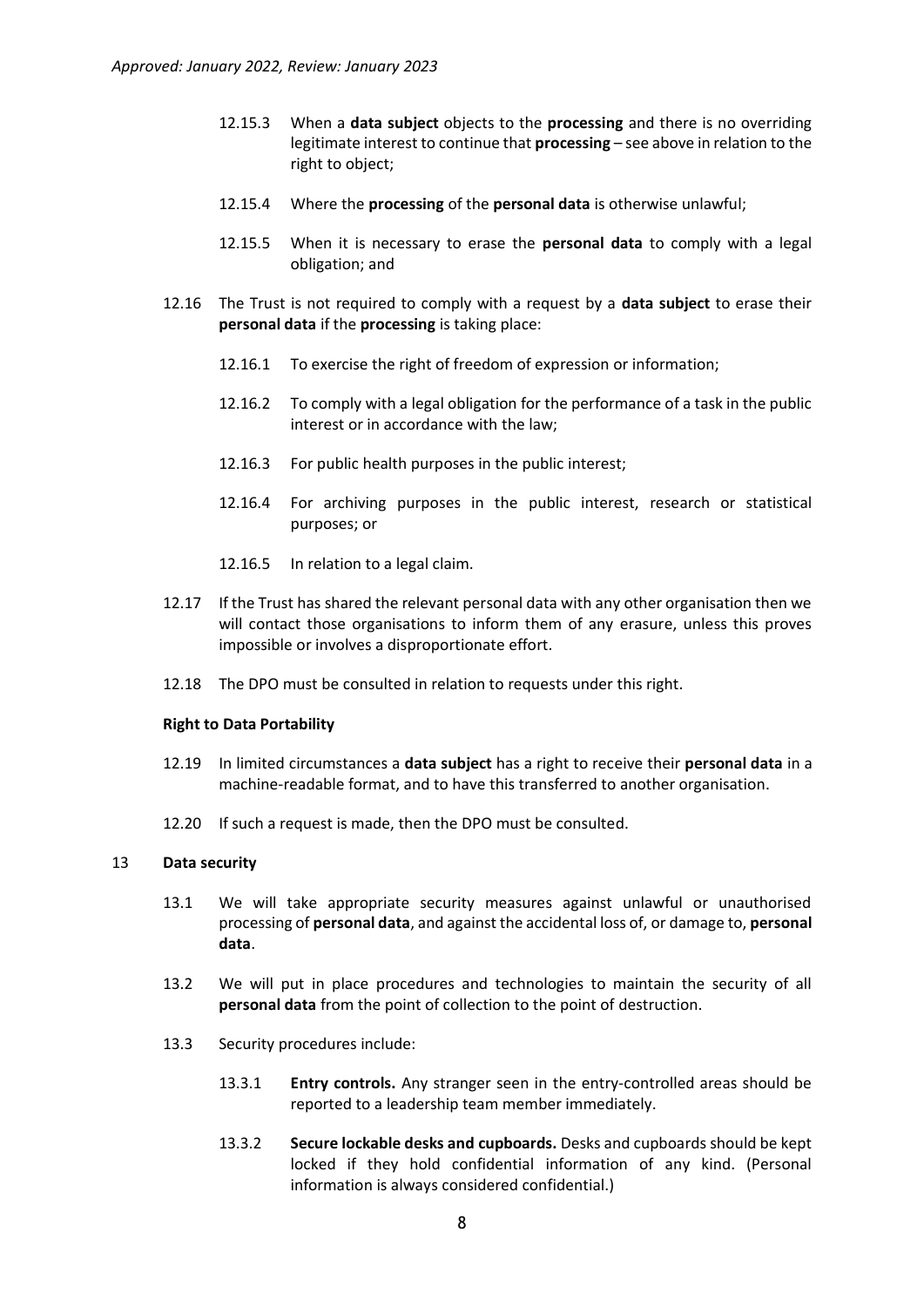- 12.15.3 When a **data subject** objects to the **processing** and there is no overriding legitimate interest to continue that **processing** – see above in relation to the right to object;
- 12.15.4 Where the **processing** of the **personal data** is otherwise unlawful;
- 12.15.5 When it is necessary to erase the **personal data** to comply with a legal obligation; and
- 12.16 The Trust is not required to comply with a request by a **data subject** to erase their **personal data** if the **processing** is taking place:
	- 12.16.1 To exercise the right of freedom of expression or information;
	- 12.16.2 To comply with a legal obligation for the performance of a task in the public interest or in accordance with the law;
	- 12.16.3 For public health purposes in the public interest;
	- 12.16.4 For archiving purposes in the public interest, research or statistical purposes; or
	- 12.16.5 In relation to a legal claim.
- 12.17 If the Trust has shared the relevant personal data with any other organisation then we will contact those organisations to inform them of any erasure, unless this proves impossible or involves a disproportionate effort.
- 12.18 The DPO must be consulted in relation to requests under this right.

#### **Right to Data Portability**

- 12.19 In limited circumstances a **data subject** has a right to receive their **personal data** in a machine-readable format, and to have this transferred to another organisation.
- 12.20 If such a request is made, then the DPO must be consulted.

#### 13 **Data security**

- 13.1 We will take appropriate security measures against unlawful or unauthorised processing of **personal data**, and against the accidental loss of, or damage to, **personal data**.
- 13.2 We will put in place procedures and technologies to maintain the security of all **personal data** from the point of collection to the point of destruction.
- 13.3 Security procedures include:
	- 13.3.1 **Entry controls.** Any stranger seen in the entry-controlled areas should be reported to a leadership team member immediately.
	- 13.3.2 **Secure lockable desks and cupboards.** Desks and cupboards should be kept locked if they hold confidential information of any kind. (Personal information is always considered confidential.)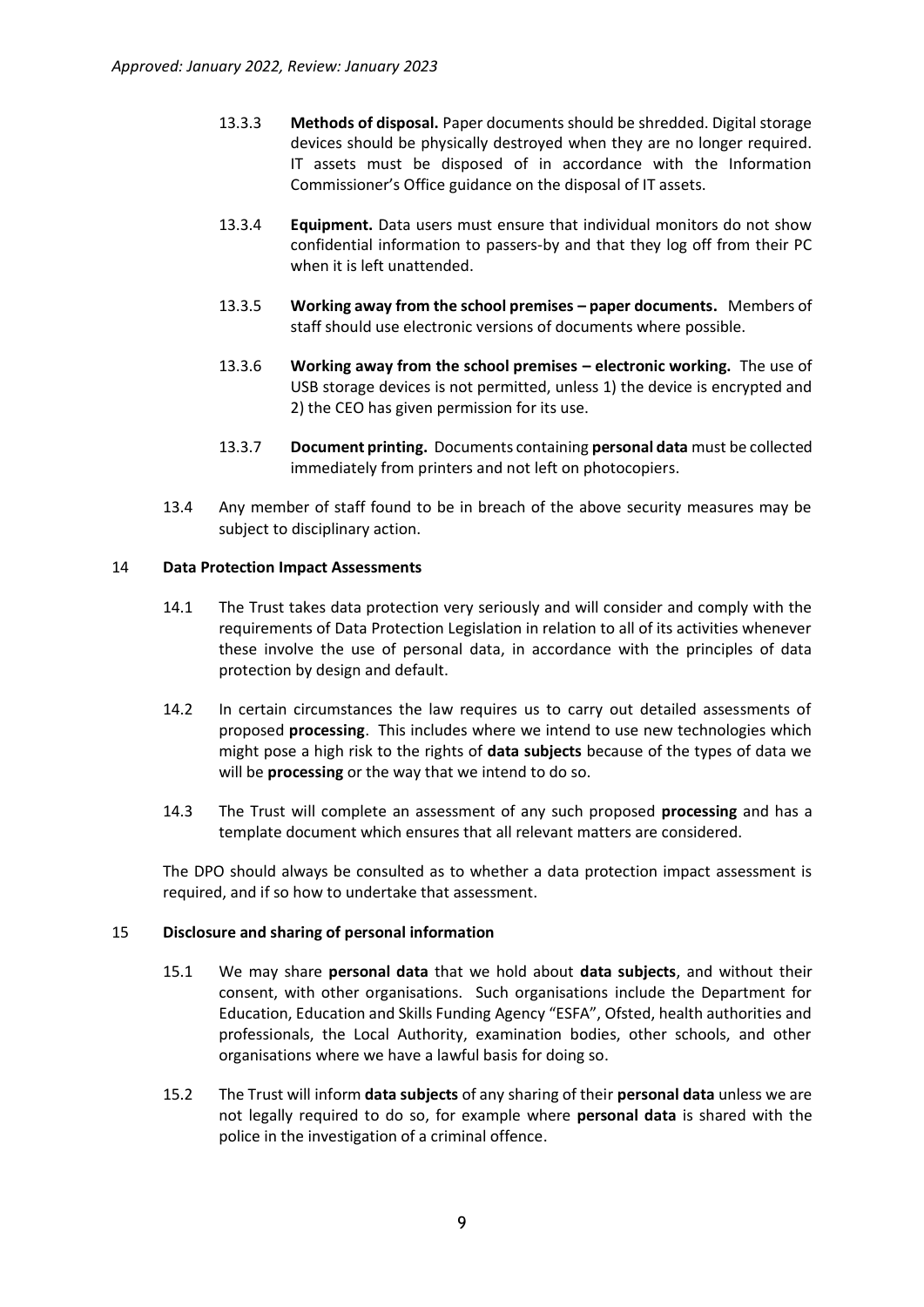- 13.3.3 **Methods of disposal.** Paper documents should be shredded. Digital storage devices should be physically destroyed when they are no longer required. IT assets must be disposed of in accordance with the Information Commissioner's Office guidance on the disposal of IT assets.
- 13.3.4 **Equipment.** Data users must ensure that individual monitors do not show confidential information to passers-by and that they log off from their PC when it is left unattended.
- 13.3.5 **Working away from the school premises – paper documents.** Members of staff should use electronic versions of documents where possible.
- 13.3.6 **Working away from the school premises – electronic working.** The use of USB storage devices is not permitted, unless 1) the device is encrypted and 2) the CEO has given permission for its use.
- 13.3.7 **Document printing.** Documents containing **personal data** must be collected immediately from printers and not left on photocopiers.
- 13.4 Any member of staff found to be in breach of the above security measures may be subject to disciplinary action.

# 14 **Data Protection Impact Assessments**

- 14.1 The Trust takes data protection very seriously and will consider and comply with the requirements of Data Protection Legislation in relation to all of its activities whenever these involve the use of personal data, in accordance with the principles of data protection by design and default.
- 14.2 In certain circumstances the law requires us to carry out detailed assessments of proposed **processing**. This includes where we intend to use new technologies which might pose a high risk to the rights of **data subjects** because of the types of data we will be **processing** or the way that we intend to do so.
- 14.3 The Trust will complete an assessment of any such proposed **processing** and has a template document which ensures that all relevant matters are considered.

The DPO should always be consulted as to whether a data protection impact assessment is required, and if so how to undertake that assessment.

#### 15 **Disclosure and sharing of personal information**

- 15.1 We may share **personal data** that we hold about **data subjects**, and without their consent, with other organisations. Such organisations include the Department for Education, Education and Skills Funding Agency "ESFA", Ofsted, health authorities and professionals, the Local Authority, examination bodies, other schools, and other organisations where we have a lawful basis for doing so.
- 15.2 The Trust will inform **data subjects** of any sharing of their **personal data** unless we are not legally required to do so, for example where **personal data** is shared with the police in the investigation of a criminal offence.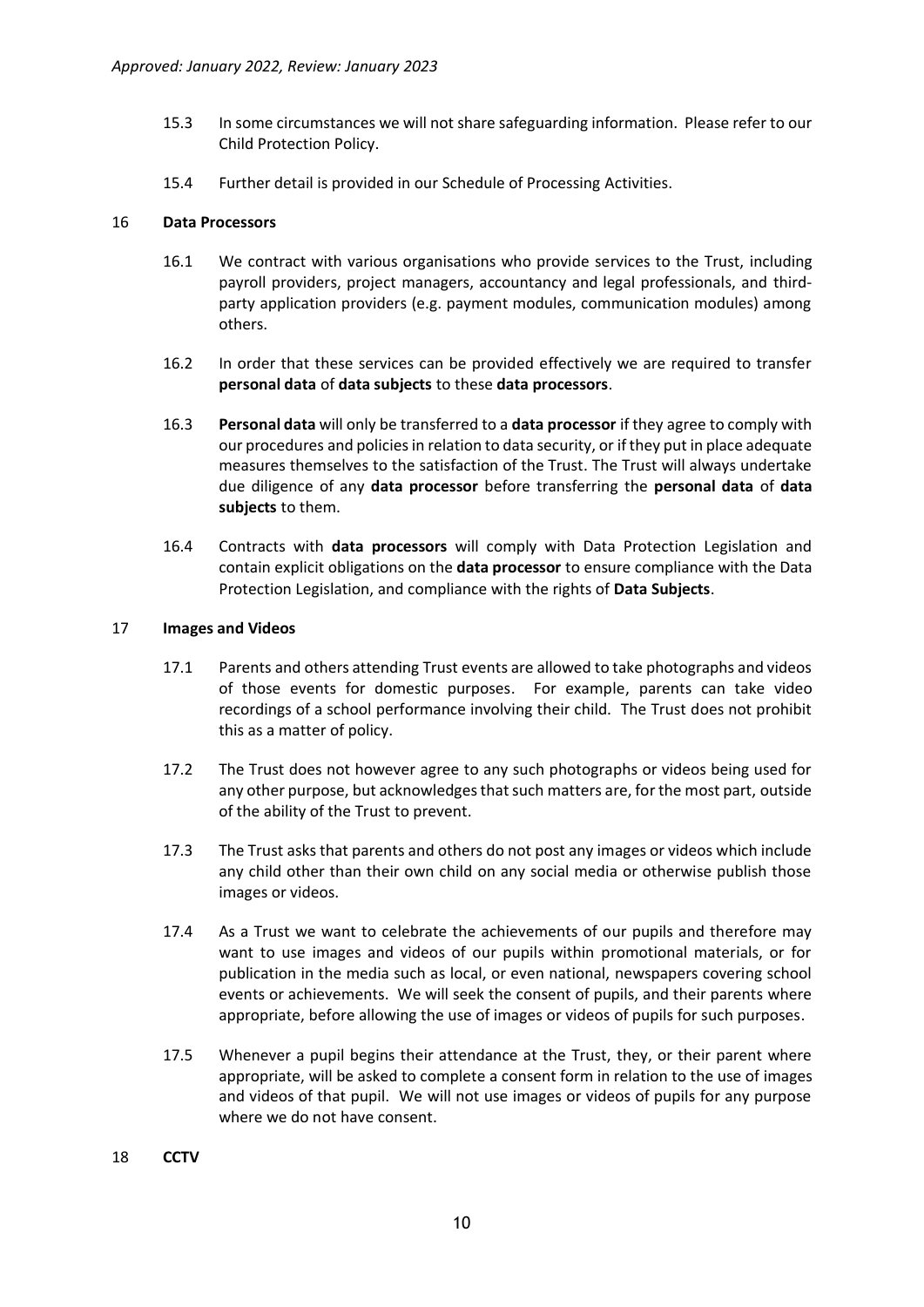- 15.3 In some circumstances we will not share safeguarding information. Please refer to our Child Protection Policy.
- 15.4 Further detail is provided in our Schedule of Processing Activities.

#### 16 **Data Processors**

- 16.1 We contract with various organisations who provide services to the Trust, including payroll providers, project managers, accountancy and legal professionals, and thirdparty application providers (e.g. payment modules, communication modules) among others.
- 16.2 In order that these services can be provided effectively we are required to transfer **personal data** of **data subjects** to these **data processors**.
- 16.3 **Personal data** will only be transferred to a **data processor** if they agree to comply with our procedures and policies in relation to data security, or if they put in place adequate measures themselves to the satisfaction of the Trust. The Trust will always undertake due diligence of any **data processor** before transferring the **personal data** of **data subjects** to them.
- 16.4 Contracts with **data processors** will comply with Data Protection Legislation and contain explicit obligations on the **data processor** to ensure compliance with the Data Protection Legislation, and compliance with the rights of **Data Subjects**.

#### 17 **Images and Videos**

- 17.1 Parents and others attending Trust events are allowed to take photographs and videos of those events for domestic purposes. For example, parents can take video recordings of a school performance involving their child. The Trust does not prohibit this as a matter of policy.
- 17.2 The Trust does not however agree to any such photographs or videos being used for any other purpose, but acknowledges that such matters are, for the most part, outside of the ability of the Trust to prevent.
- 17.3 The Trust asks that parents and others do not post any images or videos which include any child other than their own child on any social media or otherwise publish those images or videos.
- 17.4 As a Trust we want to celebrate the achievements of our pupils and therefore may want to use images and videos of our pupils within promotional materials, or for publication in the media such as local, or even national, newspapers covering school events or achievements. We will seek the consent of pupils, and their parents where appropriate, before allowing the use of images or videos of pupils for such purposes.
- 17.5 Whenever a pupil begins their attendance at the Trust, they, or their parent where appropriate, will be asked to complete a consent form in relation to the use of images and videos of that pupil. We will not use images or videos of pupils for any purpose where we do not have consent.
- 18 **CCTV**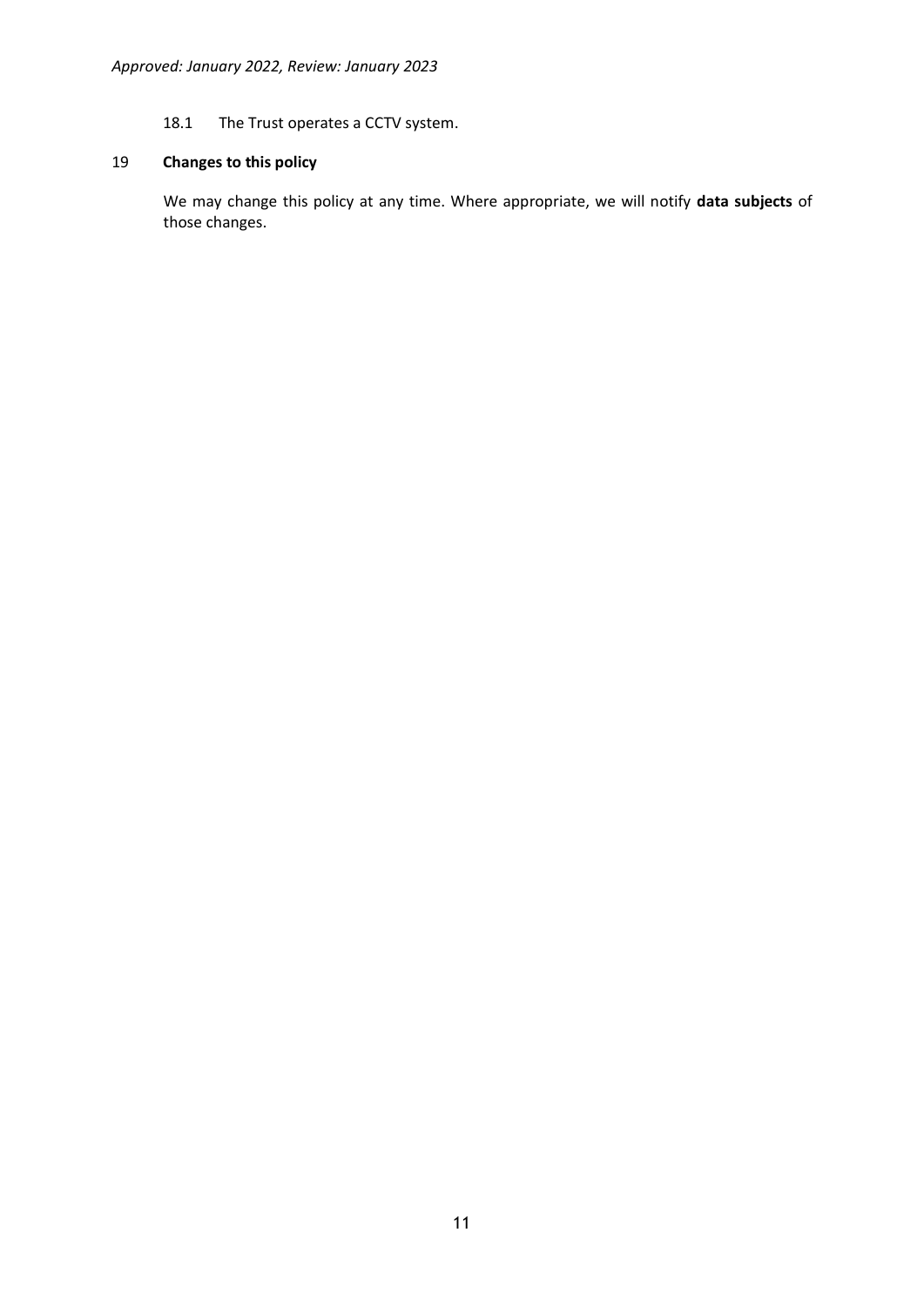# 18.1 The Trust operates a CCTV system.

# 19 **Changes to this policy**

We may change this policy at any time. Where appropriate, we will notify **data subjects** of those changes.